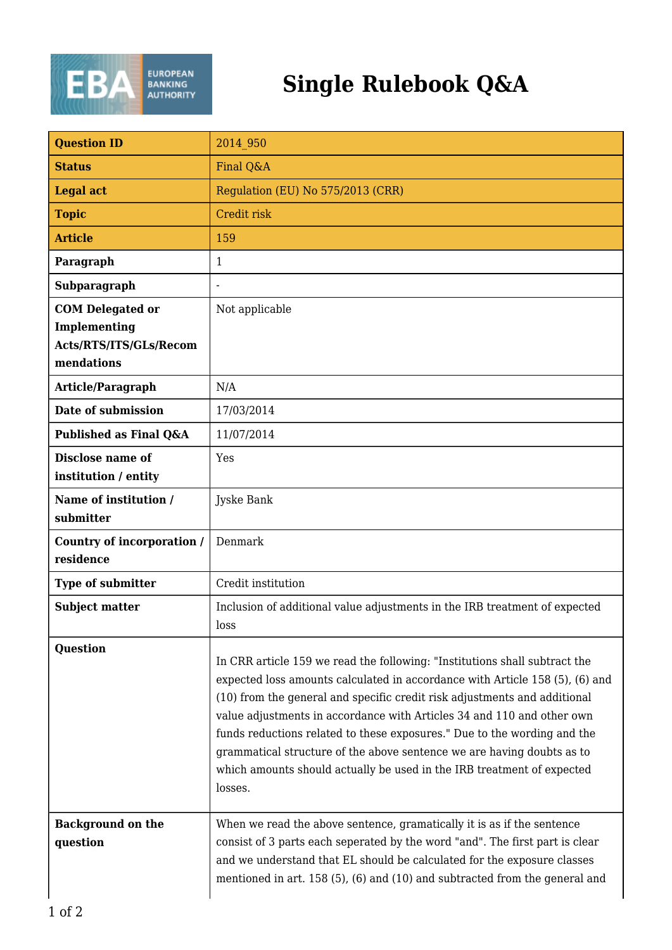

| <b>Question ID</b>                                                              | 2014 950                                                                                                                                                                                                                                                                                                                                                                                                                                                                                                                                                     |
|---------------------------------------------------------------------------------|--------------------------------------------------------------------------------------------------------------------------------------------------------------------------------------------------------------------------------------------------------------------------------------------------------------------------------------------------------------------------------------------------------------------------------------------------------------------------------------------------------------------------------------------------------------|
| <b>Status</b>                                                                   | Final Q&A                                                                                                                                                                                                                                                                                                                                                                                                                                                                                                                                                    |
| <b>Legal act</b>                                                                | Regulation (EU) No 575/2013 (CRR)                                                                                                                                                                                                                                                                                                                                                                                                                                                                                                                            |
| <b>Topic</b>                                                                    | Credit risk                                                                                                                                                                                                                                                                                                                                                                                                                                                                                                                                                  |
| <b>Article</b>                                                                  | 159                                                                                                                                                                                                                                                                                                                                                                                                                                                                                                                                                          |
| Paragraph                                                                       | 1                                                                                                                                                                                                                                                                                                                                                                                                                                                                                                                                                            |
| Subparagraph                                                                    |                                                                                                                                                                                                                                                                                                                                                                                                                                                                                                                                                              |
| <b>COM Delegated or</b><br>Implementing<br>Acts/RTS/ITS/GLs/Recom<br>mendations | Not applicable                                                                                                                                                                                                                                                                                                                                                                                                                                                                                                                                               |
| Article/Paragraph                                                               | N/A                                                                                                                                                                                                                                                                                                                                                                                                                                                                                                                                                          |
| Date of submission                                                              | 17/03/2014                                                                                                                                                                                                                                                                                                                                                                                                                                                                                                                                                   |
| Published as Final Q&A                                                          | 11/07/2014                                                                                                                                                                                                                                                                                                                                                                                                                                                                                                                                                   |
| <b>Disclose name of</b><br>institution / entity                                 | Yes                                                                                                                                                                                                                                                                                                                                                                                                                                                                                                                                                          |
| Name of institution /<br>submitter                                              | Jyske Bank                                                                                                                                                                                                                                                                                                                                                                                                                                                                                                                                                   |
| Country of incorporation /<br>residence                                         | Denmark                                                                                                                                                                                                                                                                                                                                                                                                                                                                                                                                                      |
| Type of submitter                                                               | Credit institution                                                                                                                                                                                                                                                                                                                                                                                                                                                                                                                                           |
| <b>Subject matter</b>                                                           | Inclusion of additional value adjustments in the IRB treatment of expected<br>loss                                                                                                                                                                                                                                                                                                                                                                                                                                                                           |
| <b>Question</b>                                                                 | In CRR article 159 we read the following: "Institutions shall subtract the<br>expected loss amounts calculated in accordance with Article 158 (5), (6) and<br>(10) from the general and specific credit risk adjustments and additional<br>value adjustments in accordance with Articles 34 and 110 and other own<br>funds reductions related to these exposures." Due to the wording and the<br>grammatical structure of the above sentence we are having doubts as to<br>which amounts should actually be used in the IRB treatment of expected<br>losses. |
| <b>Background on the</b><br>question                                            | When we read the above sentence, gramatically it is as if the sentence<br>consist of 3 parts each seperated by the word "and". The first part is clear<br>and we understand that EL should be calculated for the exposure classes<br>mentioned in art. 158 (5), (6) and (10) and subtracted from the general and                                                                                                                                                                                                                                             |